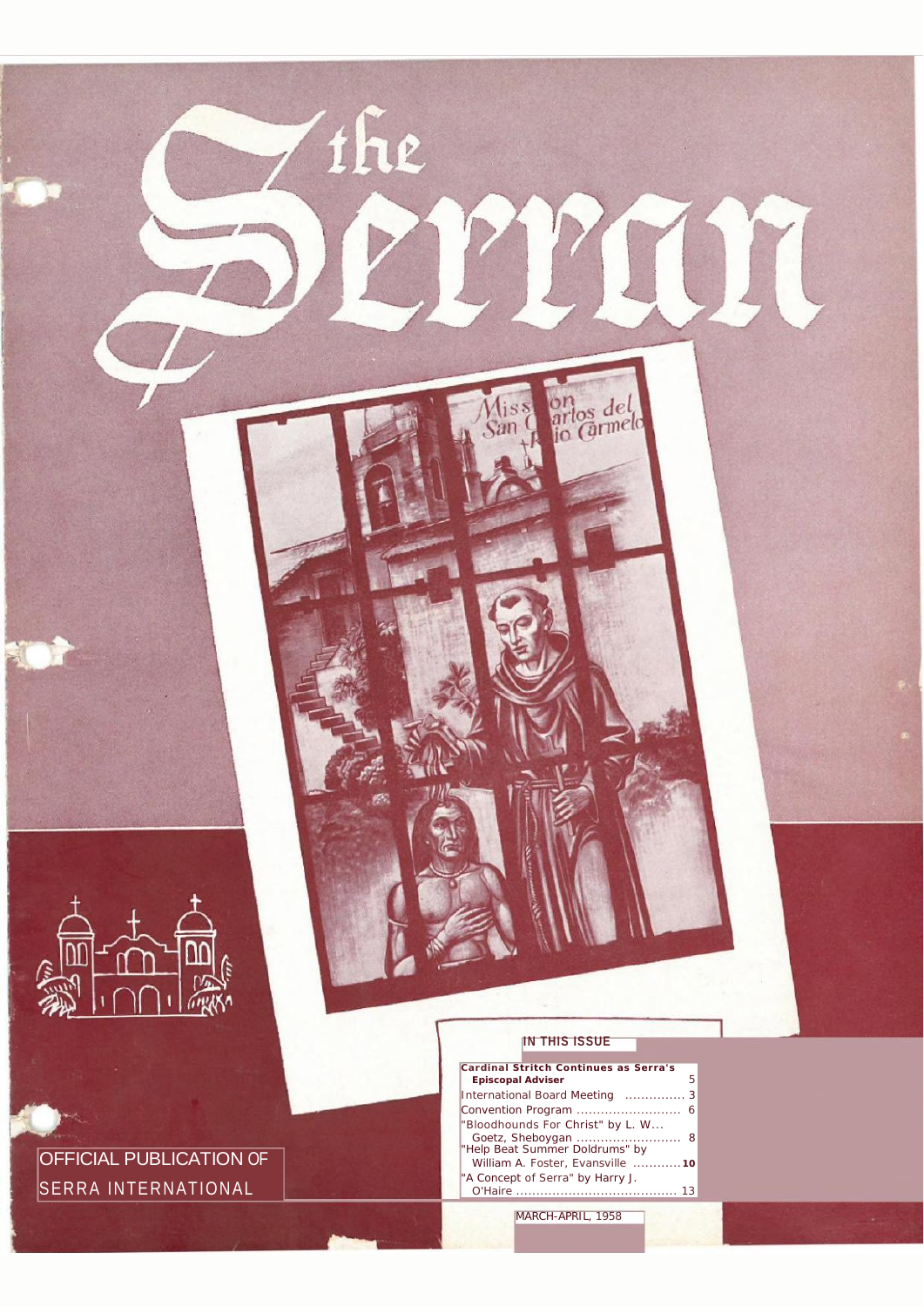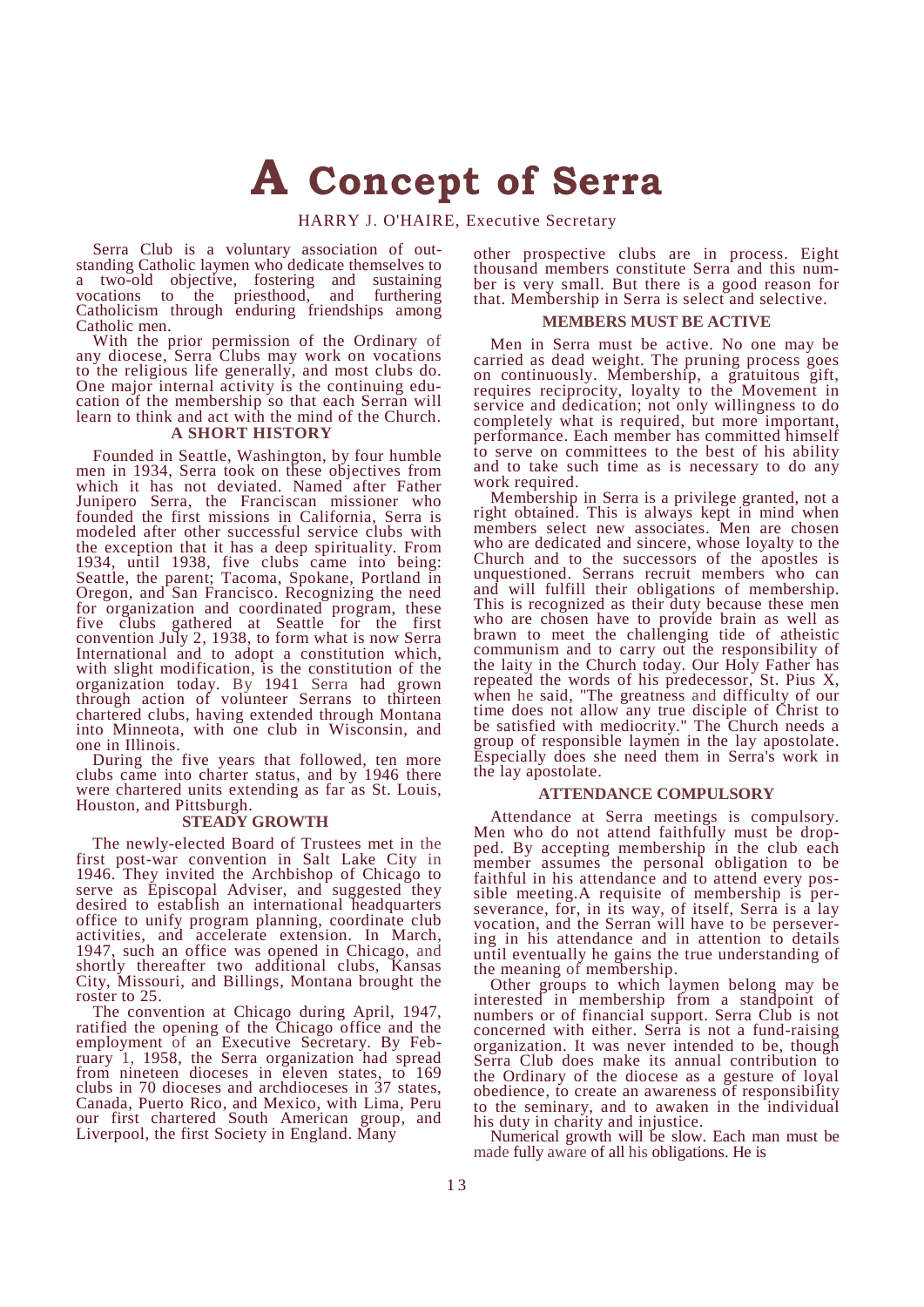# **A Concept of Serra**

HARRY J. O'HAIRE, Executive Secretary

Serra Club is a voluntary association of out- standing Catholic laymen who dedicate themselves to a two-old objective, fostering and sustaining<br>vocations to the priesthood, and furthering vocations to the priesthood, and furthering Catholicism through enduring friendships among Catholic men.

With the prior permission of the Ordinary of any diocese, Serra Clubs may work on vocations to the religious life generally, and most clubs do. One major internal activity is the continuing edu- cation of the membership so that each Serran will learn to think and act with the mind of the Church.

## **A SHORT HISTORY**

Founded in Seattle, Washington, by four humble men in 1934, Serra took on these objectives from which it has not deviated. Named after Father Junipero Serra, the Franciscan missioner who founded the first missions in California, Serra is modeled after other successful service clubs with the exception that it has a deep spirituality. From 1934, until 1938, five clubs came into being: Seattle, the parent; Tacoma, Spokane, Portland in Oregon, and San Francisco. Recognizing the need for organization and coordinated program, these five clubs gathered at Seattle for the first convention July 2, 1938, to form what is now Serra International and to adopt a constitution which, with slight modification, is the constitution of the organization today. By 1941 Serra had grown through action of volunteer Serrans to thirteen chartered clubs, having extended through Montana into Minneota, with one club in Wisconsin, and one in Illinois.

During the five years that followed, ten more clubs came into charter status, and by 1946 there were chartered units extending as far as St. Louis, Houston, and Pittsburgh.

### **STEADY GROWTH**

The newly-elected Board of Trustees met in the first post-war convention in Salt Lake City in 1946. They invited the Archbishop of Chicago to serve as Episcopal Adviser, and suggested they desired to establish an international headquarters office to unify program planning, coordinate club activities, and accelerate extension. In March, 1947, such an office was opened in Chicago, and shortly thereafter two additional clubs, Kansas City, Missouri, and Billings, Montana brought the roster to 25.

The convention at Chicago during April, 1947, ratified the opening of the Chicago office and the employment of an Executive Secretary. By Feb- ruary 1, 1958, the Serra organization had spread from nineteen dioceses in eleven states, to 169 clubs in 70 dioceses and archdioceses in 37 states, Canada, Puerto Rico, and Mexico, with Lima, Peru our first chartered South American group, and Liverpool, the first Society in England. Many

other prospective clubs are in process. Eight ber is very small. But there is a good reason for that. Membership in Serra is select and selective.

#### **MEMBERS MUST BE ACTIVE**

Men in Serra must be active. No one may be carried as dead weight. The pruning process goes on continuously. Membership, a gratuitous gift, requires reciprocity, loyalty to the Movement in service and dedication; not only willingness to do completely what is required, but more important, performance. Each member has committed himself to serve on committees to the best of his ability and to take such time as is necessary to do any work required.

Membership in Serra is a privilege granted, not a right obtained. This is always kept in mind when members select new associates. Men are chosen who are dedicated and sincere, whose loyalty to the Church and to the successors of the apostles is unquestioned. Serrans recruit members who can and will fulfill their obligations of membership. This is recognized as their duty because these men who are chosen have to provide brain as well as brawn to meet the challenging tide of atheistic communism and to carry out the responsibility of the laity in the Church today. Our Holy Father has repeated the words of his predecessor, St. Pius X, when he said, "The greatness and difficulty of our time does not allow any true disciple of Christ to be satisfied with mediocrity." The Church needs a group of responsible laymen in the lay apostolate. Especially does she need them in Serra's work in the lay apostolate.

# **ATTENDANCE COMPULSORY**

Attendance at Serra meetings is compulsory.<br>Men who do not attend faithfully must be drop-Men who do not attend faithfully must be drop-<br>ped. By accepting membership in the club each member assumes the personal obligation to be faithful in his attendance and to attend every pos-<br>sible meeting.A requisite of membership is per-<br>severance, for, in its way, of itself, Serra is a lay vocation, and the Serran will have to be persever- ing in his attendance and in attention to details until eventually he gains the true understanding of the meaning of membership.

Other groups to which laymen belong may be interested in membership from a standpoint of numbers or of financial support. Serra Club is not concerned with either. Serra is not a fund-raising organization. It was never intended to be, though Serra Club does make its annual contribution to the Ordinary of the diocese as a gesture of loyal obedience, to create an awareness of responsibility to the seminary, and to awaken in the individual his duty in charity and injustice.

Numerical growth will be slow. Each man must be made fully aware of all his obligations. He is